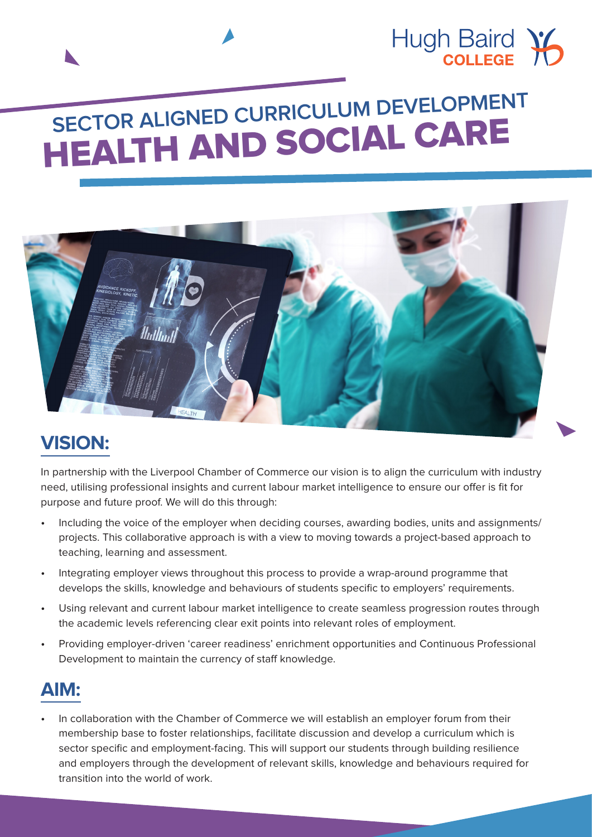

# **SECTOR ALIGNED CURRICULUM DEVELOPMENT** HEALTH AND SOCIAL CARE



# **VISION:**

In partnership with the Liverpool Chamber of Commerce our vision is to align the curriculum with industry need, utilising professional insights and current labour market intelligence to ensure our offer is fit for purpose and future proof. We will do this through:

- Including the voice of the employer when deciding courses, awarding bodies, units and assignments/ projects. This collaborative approach is with a view to moving towards a project-based approach to teaching, learning and assessment.
- Integrating employer views throughout this process to provide a wrap-around programme that develops the skills, knowledge and behaviours of students specific to employers' requirements.
- Using relevant and current labour market intelligence to create seamless progression routes through the academic levels referencing clear exit points into relevant roles of employment.
- Providing employer-driven 'career readiness' enrichment opportunities and Continuous Professional Development to maintain the currency of staff knowledge.

# **AIM:**

• In collaboration with the Chamber of Commerce we will establish an employer forum from their membership base to foster relationships, facilitate discussion and develop a curriculum which is sector specific and employment-facing. This will support our students through building resilience and employers through the development of relevant skills, knowledge and behaviours required for transition into the world of work.